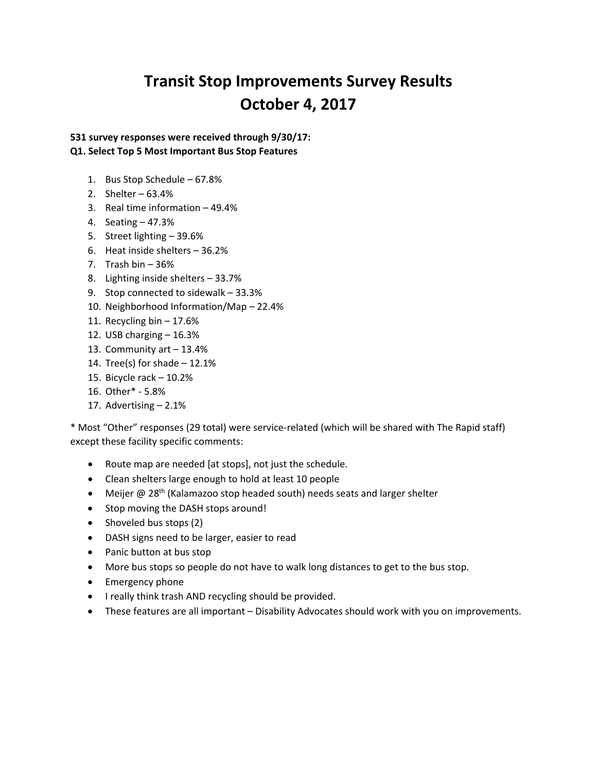# **Transit Stop Improvements Survey Results October 4, 2017**

**531 survey responses were received through 9/30/17:**

# **Q1. Select Top 5 Most Important Bus Stop Features**

- 1. Bus Stop Schedule 67.8%
- 2. Shelter 63.4%
- 3. Real time information 49.4%
- 4. Seating 47.3%
- 5. Street lighting 39.6%
- 6. Heat inside shelters 36.2%
- 7. Trash bin 36%
- 8. Lighting inside shelters 33.7%
- 9. Stop connected to sidewalk 33.3%
- 10. Neighborhood Information/Map 22.4%
- 11. Recycling bin 17.6%
- 12. USB charging  $-16.3%$
- 13. Community art 13.4%
- 14. Tree(s) for shade 12.1%
- 15. Bicycle rack 10.2%
- 16. Other\* 5.8%
- 17. Advertising 2.1%

\* Most "Other" responses (29 total) were service-related (which will be shared with The Rapid staff) except these facility specific comments:

- Route map are needed [at stops], not just the schedule.
- Clean shelters large enough to hold at least 10 people
- Meijer @ 28<sup>th</sup> (Kalamazoo stop headed south) needs seats and larger shelter
- Stop moving the DASH stops around!
- Shoveled bus stops (2)
- DASH signs need to be larger, easier to read
- Panic button at bus stop
- More bus stops so people do not have to walk long distances to get to the bus stop.
- Emergency phone
- I really think trash AND recycling should be provided.
- These features are all important Disability Advocates should work with you on improvements.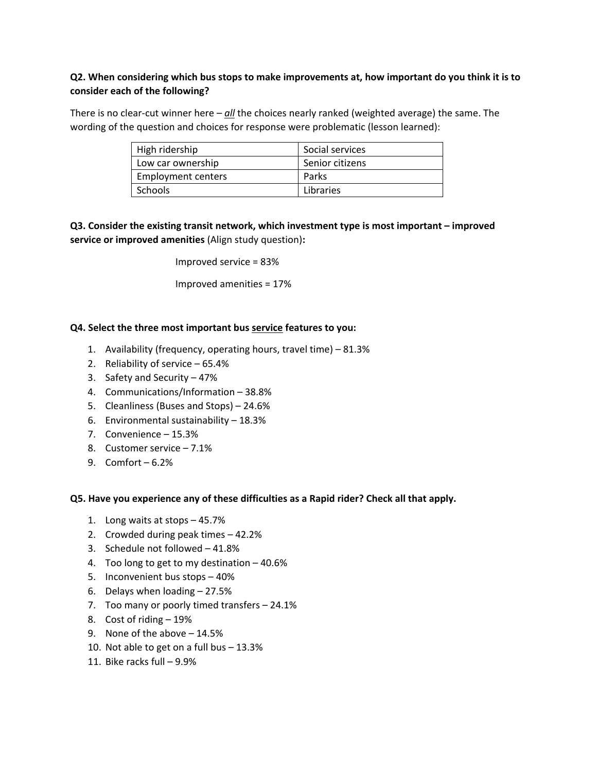# **Q2. When considering which bus stops to make improvements at, how important do you think it is to consider each of the following?**

There is no clear-cut winner here – *all* the choices nearly ranked (weighted average) the same. The wording of the question and choices for response were problematic (lesson learned):

| High ridership     | Social services |
|--------------------|-----------------|
| Low car ownership  | Senior citizens |
| Employment centers | Parks           |
| Schools            | Libraries       |

**Q3. Consider the existing transit network, which investment type is most important – improved service or improved amenities** (Align study question)**:**

Improved service = 83%

Improved amenities = 17%

## **Q4. Select the three most important bus service features to you:**

- 1. Availability (frequency, operating hours, travel time) 81.3%
- 2. Reliability of service 65.4%
- 3. Safety and Security 47%
- 4. Communications/Information 38.8%
- 5. Cleanliness (Buses and Stops) 24.6%
- 6. Environmental sustainability  $-18.3\%$
- 7. Convenience 15.3%
- 8. Customer service 7.1%
- 9. Comfort 6.2%

#### **Q5. Have you experience any of these difficulties as a Rapid rider? Check all that apply.**

- 1. Long waits at stops 45.7%
- 2. Crowded during peak times 42.2%
- 3. Schedule not followed 41.8%
- 4. Too long to get to my destination 40.6%
- 5. Inconvenient bus stops 40%
- 6. Delays when loading 27.5%
- 7. Too many or poorly timed transfers 24.1%
- 8. Cost of riding 19%
- 9. None of the above 14.5%
- 10. Not able to get on a full bus 13.3%
- 11. Bike racks full 9.9%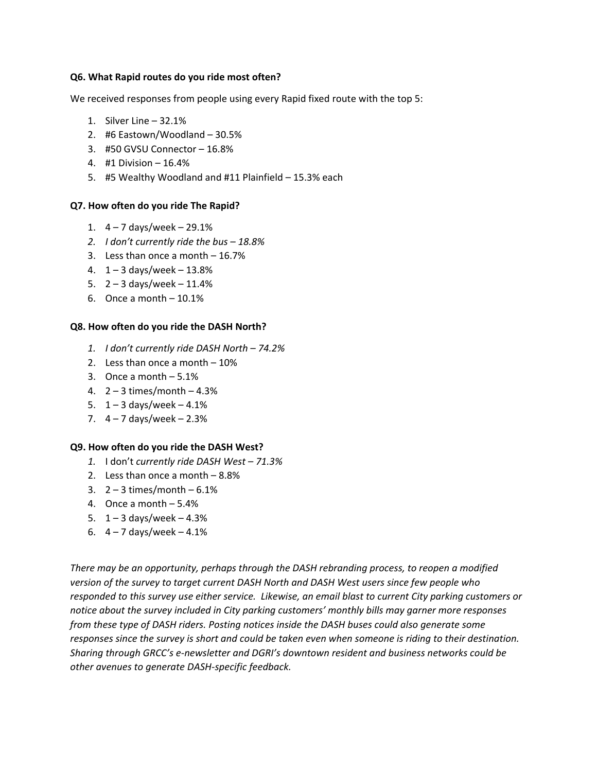#### **Q6. What Rapid routes do you ride most often?**

We received responses from people using every Rapid fixed route with the top 5:

- 1. Silver Line 32.1%
- 2. #6 Eastown/Woodland 30.5%
- 3. #50 GVSU Connector 16.8%
- 4. #1 Division 16.4%
- 5. #5 Wealthy Woodland and #11 Plainfield 15.3% each

## **Q7. How often do you ride The Rapid?**

- 1.  $4 7$  days/week  $-29.1%$
- *2. I don't currently ride the bus – 18.8%*
- 3. Less than once a month 16.7%
- 4.  $1 3$  days/week  $13.8%$
- 5.  $2 3$  days/week  $11.4%$
- 6. Once a month  $-10.1%$

## **Q8. How often do you ride the DASH North?**

- *1. I don't currently ride DASH North – 74.2%*
- 2. Less than once a month 10%
- 3. Once a month 5.1%
- 4.  $2 3$  times/month  $-4.3%$
- 5.  $1 3$  days/week  $-4.1%$
- 7.  $4 7$  days/week  $-2.3%$

## **Q9. How often do you ride the DASH West?**

- *1.* I don't *currently ride DASH West – 71.3%*
- 2. Less than once a month 8.8%
- 3.  $2 3$  times/month  $-6.1\%$
- 4. Once a month 5.4%
- 5.  $1 3$  days/week  $4.3%$
- 6.  $4 7$  days/week  $-4.1%$

*There may be an opportunity, perhaps through the DASH rebranding process, to reopen a modified version of the survey to target current DASH North and DASH West users since few people who responded to this survey use either service. Likewise, an email blast to current City parking customers or notice about the survey included in City parking customers' monthly bills may garner more responses from these type of DASH riders. Posting notices inside the DASH buses could also generate some responses since the survey is short and could be taken even when someone is riding to their destination. Sharing through GRCC's e-newsletter and DGRI's downtown resident and business networks could be other avenues to generate DASH-specific feedback.*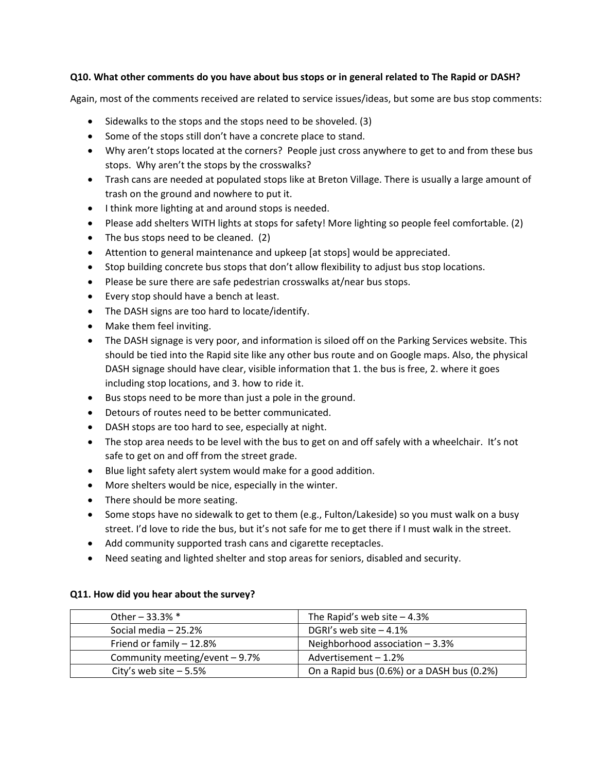## **Q10. What other comments do you have about bus stops or in general related to The Rapid or DASH?**

Again, most of the comments received are related to service issues/ideas, but some are bus stop comments:

- Sidewalks to the stops and the stops need to be shoveled. (3)
- Some of the stops still don't have a concrete place to stand.
- Why aren't stops located at the corners? People just cross anywhere to get to and from these bus stops. Why aren't the stops by the crosswalks?
- Trash cans are needed at populated stops like at Breton Village. There is usually a large amount of trash on the ground and nowhere to put it.
- I think more lighting at and around stops is needed.
- Please add shelters WITH lights at stops for safety! More lighting so people feel comfortable. (2)
- The bus stops need to be cleaned. (2)
- Attention to general maintenance and upkeep [at stops] would be appreciated.
- Stop building concrete bus stops that don't allow flexibility to adjust bus stop locations.
- Please be sure there are safe pedestrian crosswalks at/near bus stops.
- Every stop should have a bench at least.
- The DASH signs are too hard to locate/identify.
- Make them feel inviting.
- The DASH signage is very poor, and information is siloed off on the Parking Services website. This should be tied into the Rapid site like any other bus route and on Google maps. Also, the physical DASH signage should have clear, visible information that 1. the bus is free, 2. where it goes including stop locations, and 3. how to ride it.
- Bus stops need to be more than just a pole in the ground.
- Detours of routes need to be better communicated.
- DASH stops are too hard to see, especially at night.
- The stop area needs to be level with the bus to get on and off safely with a wheelchair. It's not safe to get on and off from the street grade.
- Blue light safety alert system would make for a good addition.
- More shelters would be nice, especially in the winter.
- There should be more seating.
- Some stops have no sidewalk to get to them (e.g., Fulton/Lakeside) so you must walk on a busy street. I'd love to ride the bus, but it's not safe for me to get there if I must walk in the street.
- Add community supported trash cans and cigarette receptacles.
- Need seating and lighted shelter and stop areas for seniors, disabled and security.

| Other $-33.3%$ *                | The Rapid's web site $-4.3%$               |
|---------------------------------|--------------------------------------------|
| Social media - 25.2%            | DGRI's web site $-4.1\%$                   |
| Friend or family - 12.8%        | Neighborhood association - 3.3%            |
| Community meeting/event $-9.7%$ | Advertisement $-1.2%$                      |
| City's web site $-5.5%$         | On a Rapid bus (0.6%) or a DASH bus (0.2%) |

## **Q11. How did you hear about the survey?**